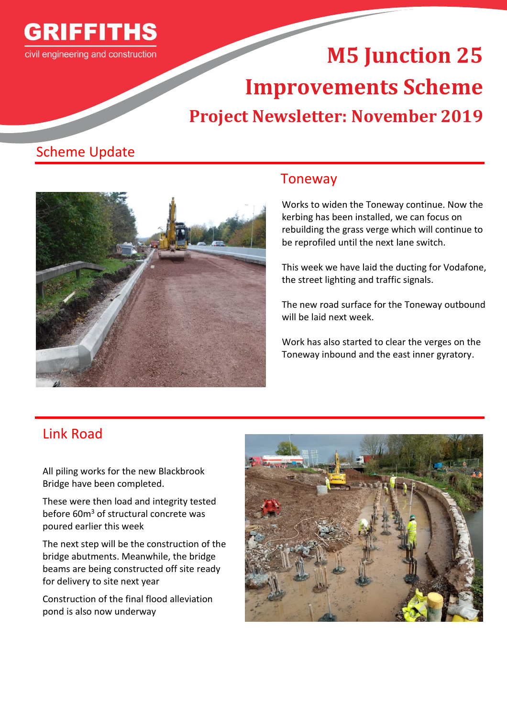

# **M5 Junction 25 Improvements Scheme Project Newsletter: November 2019**

# Scheme Update



## Toneway

Works to widen the Toneway continue. Now the kerbing has been installed, we can focus on rebuilding the grass verge which will continue to be reprofiled until the next lane switch.

This week we have laid the ducting for Vodafone, the street lighting and traffic signals.

The new road surface for the Toneway outbound will be laid next week.

Work has also started to clear the verges on the Toneway inbound and the east inner gyratory.

# Link Road

All piling works for the new Blackbrook Bridge have been completed.

These were then load and integrity tested before 60m<sup>3</sup> of structural concrete was poured earlier this week

The next step will be the construction of the bridge abutments. Meanwhile, the bridge beams are being constructed off site ready for delivery to site next year

Construction of the final flood alleviation pond is also now underway